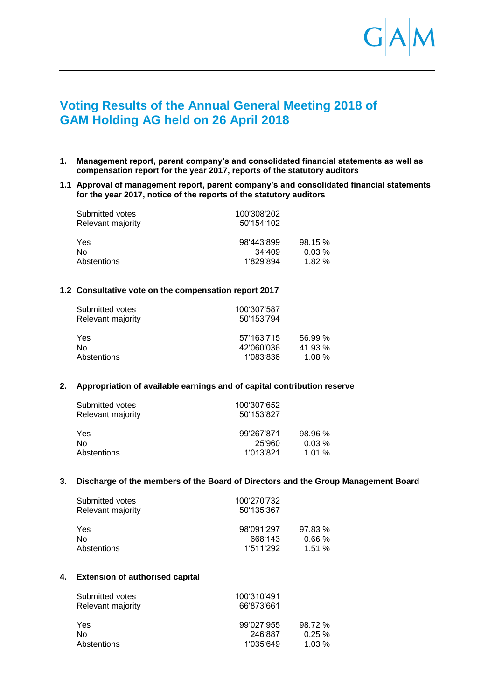

# **Voting Results of the Annual General Meeting 2018 of GAM Holding AG held on 26 April 2018**

**1. Management report, parent company's and consolidated financial statements as well as compensation report for the year 2017, reports of the statutory auditors**

#### **1.1 Approval of management report, parent company's and consolidated financial statements for the year 2017, notice of the reports of the statutory auditors**

| Submitted votes   | 100'308'202 |         |
|-------------------|-------------|---------|
| Relevant majority | 50'154'102  |         |
| Yes               | 98'443'899  | 98.15 % |
| No                | 34'409      | 0.03%   |
| Abstentions       | 1'829'894   | 1.82%   |

#### **1.2 Consultative vote on the compensation report 2017**

| Submitted votes   | 100'307'587 |         |
|-------------------|-------------|---------|
| Relevant majority | 50'153'794  |         |
| Yes               | 57'163'715  | 56.99 % |
| Nο                | 42'060'036  | 41.93%  |
| Abstentions       | 1'083'836   | 1.08%   |

## **2. Appropriation of available earnings and of capital contribution reserve**

| Submitted votes<br>Relevant majority | 100'307'652<br>50'153'827 |           |  |
|--------------------------------------|---------------------------|-----------|--|
| Yes                                  | 99'267'871                | 98.96%    |  |
| No                                   | 25'960                    | $0.03\%$  |  |
| Abstentions                          | 1'013'821                 | $1.01 \%$ |  |

#### **3. Discharge of the members of the Board of Directors and the Group Management Board**

| Submitted votes<br>Relevant majority | 100'270'732<br>50'135'367 |        |  |
|--------------------------------------|---------------------------|--------|--|
| Yes                                  | 98'091'297                | 97.83% |  |
| No.                                  | 668'143                   | 0.66%  |  |
| Abstentions                          | 1'511'292                 | 1.51%  |  |

#### **4. Extension of authorised capital**

| 100'310'491<br>66'873'661 |         |  |
|---------------------------|---------|--|
| 99'027'955                | 98.72 % |  |
| 246'887                   | 0.25%   |  |
| 1'035'649                 | 1.03%   |  |
|                           |         |  |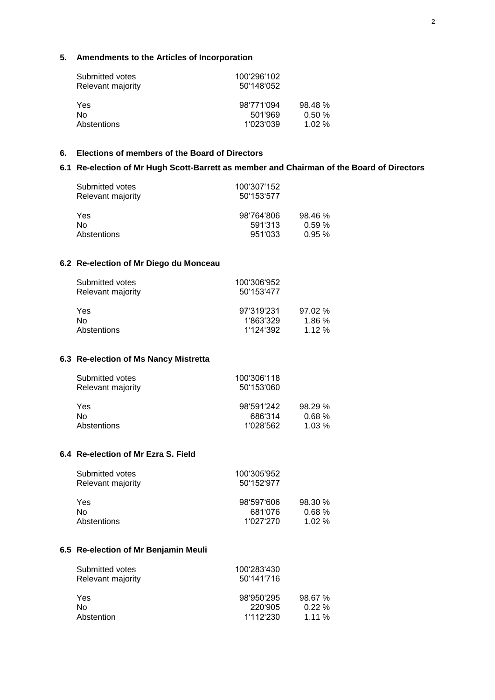# **5. Amendments to the Articles of Incorporation**

| Submitted votes   | 100'296'102 |        |
|-------------------|-------------|--------|
| Relevant majority | 50'148'052  |        |
| Yes               | 98'771'094  | 98.48% |
| No                | 501'969     | 0.50%  |
| Abstentions       | 1'023'039   | 1.02%  |

# **6. Elections of members of the Board of Directors**

## **6.1 Re-election of Mr Hugh Scott-Barrett as member and Chairman of the Board of Directors**

| Submitted votes<br>Relevant majority | 100'307'152<br>50'153'577 |        |  |
|--------------------------------------|---------------------------|--------|--|
| Yes                                  | 98'764'806                | 98.46% |  |
| No.                                  | 591'313                   | 0.59%  |  |
| Abstentions                          | 951'033                   | 0.95%  |  |

# **6.2 Re-election of Mr Diego du Monceau**

| Submitted votes   | 100'306'952 |        |
|-------------------|-------------|--------|
| Relevant majority | 50'153'477  |        |
| Yes               | 97'319'231  | 97.02% |
| Nο                | 1'863'329   | 1.86%  |
| Abstentions       | 1'124'392   | 1.12%  |

## **6.3 Re-election of Ms Nancy Mistretta**

| Submitted votes<br>Relevant majority | 100'306'118<br>50'153'060 |           |
|--------------------------------------|---------------------------|-----------|
| Yes                                  | 98'591'242                | 98.29%    |
| No                                   | 686'314                   | $0.68 \%$ |
| Abstentions                          | 1'028'562                 | 1.03%     |

## **6.4 Re-election of Mr Ezra S. Field**

| 100'305'952<br>50'152'977 |         |  |
|---------------------------|---------|--|
| 98'597'606                | 98.30 % |  |
| 681'076                   | 0.68%   |  |
| 1'027'270                 | 1.02%   |  |
|                           |         |  |

#### **6.5 Re-election of Mr Benjamin Meuli**

| Submitted votes   | 100'283'430 |        |  |
|-------------------|-------------|--------|--|
| Relevant majority | 50'141'716  |        |  |
| Yes               | 98'950'295  | 98.67% |  |
| No                | 220'905     | 0.22%  |  |
| Abstention        | 1'112'230   | 1.11%  |  |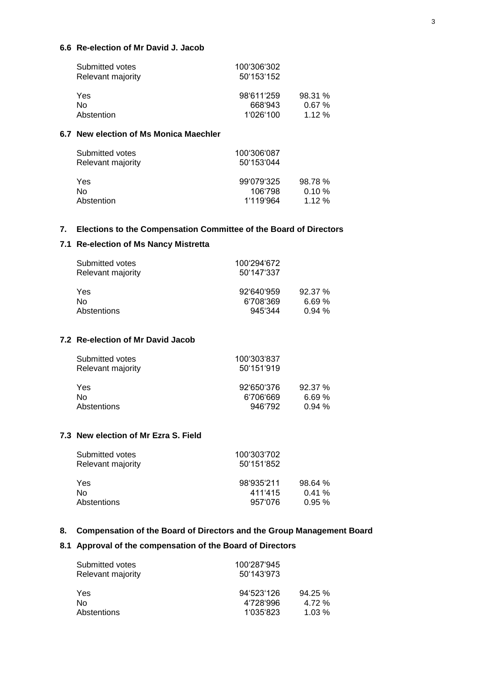## **6.6 Re-election of Mr David J. Jacob**

| 100'306'302 |         |
|-------------|---------|
| 50'153'152  |         |
| 98'611'259  | 98.31 % |
| 668'943     | 0.67%   |
| 1'026'100   | 1.12%   |
|             |         |

# **6.7 New election of Ms Monica Maechler**

| Submitted votes<br>Relevant majority | 100'306'087<br>50'153'044 |                     |
|--------------------------------------|---------------------------|---------------------|
| Yes<br>No.                           | 99'079'325<br>106'798     | 98.78%<br>$0.10 \%$ |
| Abstention                           | 1'119'964                 | 1.12%               |

## **7. Elections to the Compensation Committee of the Board of Directors**

# **7.1 Re-election of Ms Nancy Mistretta**

| Submitted votes<br>Relevant majority | 100'294'672<br>50'147'337 |        |
|--------------------------------------|---------------------------|--------|
| Yes                                  | 92'640'959                | 92.37% |
| Nο                                   | 6'708'369                 | 6.69%  |
| Abstentions                          | 945.344                   | 0.94%  |

# **7.2 Re-election of Mr David Jacob**

| Submitted votes<br>Relevant majority | 100'303'837<br>50'151'919 |        |  |
|--------------------------------------|---------------------------|--------|--|
| Yes                                  | 92'650'376                | 92.37% |  |
| No                                   | 6'706'669                 | 6.69%  |  |
| Abstentions                          | 946'792                   | 0.94%  |  |

# **7.3 New election of Mr Ezra S. Field**

| Submitted votes<br>Relevant majority | 100'303'702<br>50'151'852 |          |
|--------------------------------------|---------------------------|----------|
| Yes                                  | 98'935'211                | 98.64%   |
| Nο                                   | 411'415                   | 0.41%    |
| Abstentions                          | 957'076                   | $0.95\%$ |

## **8. Compensation of the Board of Directors and the Group Management Board**

# **8.1 Approval of the compensation of the Board of Directors**

| Submitted votes   | 100'287'945 |        |
|-------------------|-------------|--------|
| Relevant majority | 50'143'973  |        |
| Yes               | 94'523'126  | 94.25% |
| No                | 4'728'996   | 4.72 % |
| Abstentions       | 1'035'823   | 1.03%  |